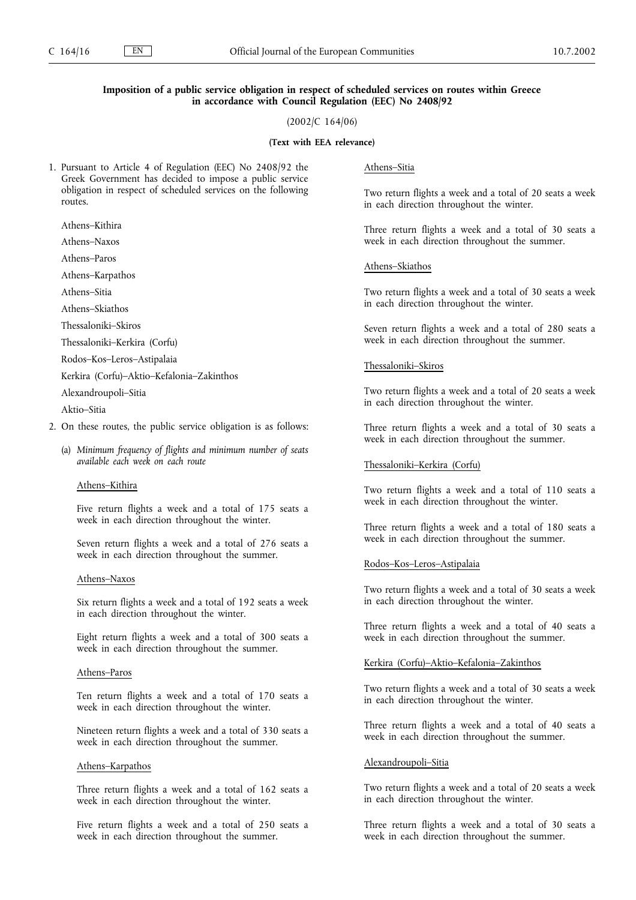# **Imposition of a public service obligation in respect of scheduled services on routes within Greece in accordance with Council Regulation (EEC) No 2408/92**

(2002/C 164/06)

### **(Text with EEA relevance)**

1. Pursuant to Article 4 of Regulation (EEC) No 2408/92 the Greek Government has decided to impose a public service obligation in respect of scheduled services on the following routes.

Athens–Kithira

Athens–Naxos

Athens–Paros

Athens–Karpathos

Athens–Sitia

Athens–Skiathos

Thessaloniki–Skiros

Thessaloniki–Kerkira (Corfu)

Rodos–Kos–Leros–Astipalaia

Kerkira (Corfu)–Aktio–Kefalonia–Zakinthos

Alexandroupoli–Sitia

Aktio–Sitia

- 2. On these routes, the public service obligation is as follows:
	- (a) *Minimum frequency of flights and minimum number of seats available each week on each route*

# Athens–Kithira

Five return flights a week and a total of 175 seats a week in each direction throughout the winter.

Seven return flights a week and a total of 276 seats a week in each direction throughout the summer.

# Athens–Naxos

Six return flights a week and a total of 192 seats a week in each direction throughout the winter.

Eight return flights a week and a total of 300 seats a week in each direction throughout the summer.

# Athens–Paros

Ten return flights a week and a total of 170 seats a week in each direction throughout the winter.

Nineteen return flights a week and a total of 330 seats a week in each direction throughout the summer.

### Athens–Karpathos

Three return flights a week and a total of 162 seats a week in each direction throughout the winter.

Five return flights a week and a total of 250 seats a week in each direction throughout the summer.

# Athens–Sitia

Two return flights a week and a total of 20 seats a week in each direction throughout the winter.

Three return flights a week and a total of 30 seats a week in each direction throughout the summer.

### Athens–Skiathos

Two return flights a week and a total of 30 seats a week in each direction throughout the winter.

Seven return flights a week and a total of 280 seats a week in each direction throughout the summer.

#### Thessaloniki–Skiros

Two return flights a week and a total of 20 seats a week in each direction throughout the winter.

Three return flights a week and a total of 30 seats a week in each direction throughout the summer.

### Thessaloniki–Kerkira (Corfu)

Two return flights a week and a total of 110 seats a week in each direction throughout the winter.

Three return flights a week and a total of 180 seats a week in each direction throughout the summer.

#### Rodos–Kos–Leros–Astipalaia

Two return flights a week and a total of 30 seats a week in each direction throughout the winter.

Three return flights a week and a total of 40 seats a week in each direction throughout the summer.

## Kerkira (Corfu)–Aktio–Kefalonia–Zakinthos

Two return flights a week and a total of 30 seats a week in each direction throughout the winter.

Three return flights a week and a total of 40 seats a week in each direction throughout the summer.

### Alexandroupoli–Sitia

Two return flights a week and a total of 20 seats a week in each direction throughout the winter.

Three return flights a week and a total of 30 seats a week in each direction throughout the summer.